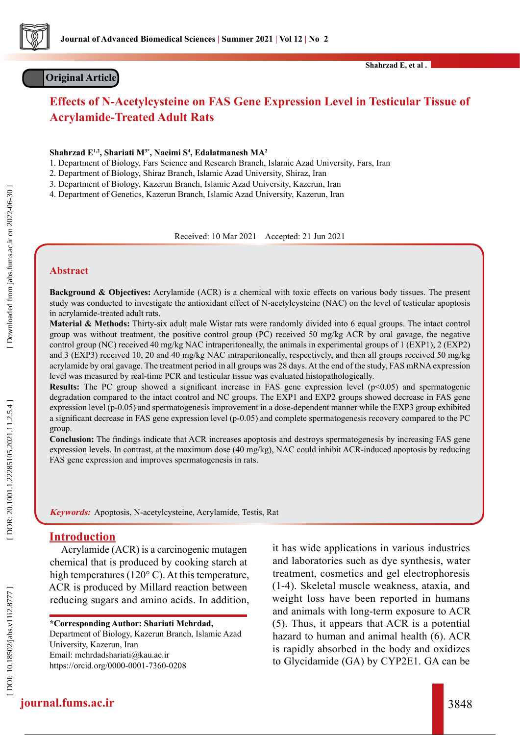

# **Original Article**

# **Effects of N-Acetylcysteine on FAS Gene Expression Level in Testicular Tissue of Acrylamide-Treated Adult Rats**

**Shahrzad E1,2, Shariati M3\*, Naeimi S 4 , Edalatmanesh MA 2**

1. Department of Biology, Fars Science and Research Branch, Islamic Azad University, Fars, Iran

2. Department of Biology, Shiraz Branch, Islamic Azad University, Shiraz, Iran

3. Department of Biology, Kazerun Branch, Islamic Azad University, Kazerun, Iran

4. Department of Genetics, Kazerun Branch, Islamic Azad University, Kazerun, Iran

Received: 10 Mar 2021 Accepted: 21 Jun 2021

#### **Abstract**

**Background & Objectives:** Acrylamide (ACR) is a chemical with toxic effects on various body tissues. The present study was conducted to investigate the antioxidant effect of N-acetylcysteine (NAC) on the level of testicular apoptosis in acrylamide-treated adult rats.

**Material & Methods:** Thirty-six adult male Wistar rats were randomly divided into 6 equal groups. The intact control group was without treatment, the positive control group (PC) received 50 mg/kg ACR by oral gavage, the negative control group (NC) received 40 mg/kg NAC intraperitoneally, the animals in experimental groups of 1 (EXP1), 2 (EXP2) and 3 (EXP3) received 10, 20 and 40 mg/kg NAC intraperitoneally, respectively, and then all groups received 50 mg/kg acrylamide by oral gavage. The treatment period in all groups was 28 days. At the end of the study, FAS mRNA expression level was measured by real-time PCR and testicular tissue was evaluated histopathologically.

**Results:** The PC group showed a significant increase in FAS gene expression level (p<0.05) and spermatogenic degradation compared to the intact control and NC groups. The EXP1 and EXP2 groups showed decrease in FAS gene expression level (p-0.05) and spermatogenesis improvement in a dose-dependent manner while the EXP3 group exhibited a significant decrease in FAS gene expression level (p-0.05) and complete spermatogenesis recovery compared to the PC group.

**Conclusion:** The findings indicate that ACR increases apoptosis and destroys spermatogenesis by increasing FAS gene expression levels. In contrast, at the maximum dose (40 mg/kg), NAC could inhibit ACR-induced apoptosis by reducing FAS gene expression and improves spermatogenesis in rats.

**Keywords:** Apoptosis, N-acetylcysteine, Acrylamide, Testis, Rat

# **Introduction**

Acrylamide (ACR) is a carcinogenic mutagen chemical that is produced by cooking starch at high temperatures (120°C). At this temperature, ACR is produced by Millard reaction between reducing sugars and amino acids. In addition,

**\*Corresponding Author: Shariati Mehrdad,**

Department of Biology, Kazerun Branch, Islamic Azad University, Kazerun, Iran [Email: mehrdadshariati@kau.ac.ir](mailto:%20mehrdadshariati%40kau.ac.ir%20%20?subject=)  <https://orcid.org/0000-0001-7360-0208>

it has wide applications in various industries and laboratories such as dye synthesis, water treatment, cosmetics and gel electrophoresis (1-4). Skeletal muscle weakness, ataxia, and weight loss have been reported in humans and animals with long-term exposure to ACR (5). Thus, it appears that ACR is a potential hazard to human and animal health (6). ACR is rapidly absorbed in the body and oxidizes to Glycidamide (GA) by CYP2E1. GA can be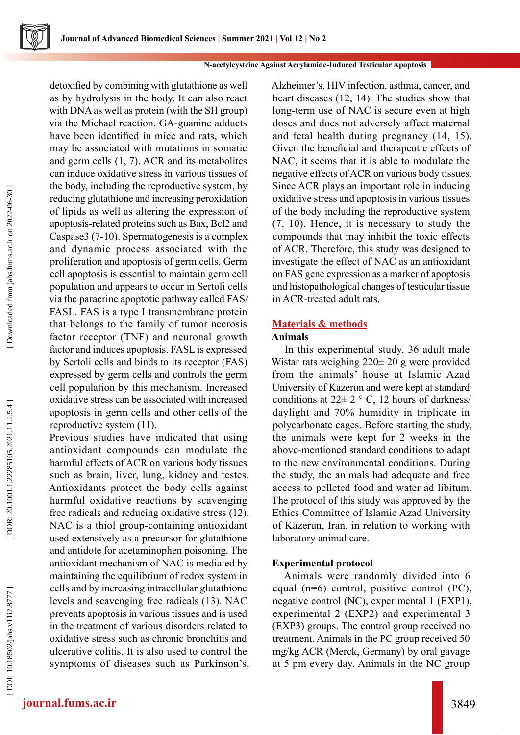

detoxified by combining with glutathione as well as by hydrolysis in the body. It can also react with DNA as well as protein (with the SH group) via the Michael reaction. GA-guanine adducts have been identified in mice and rats, which may be associated with mutations in somatic and germ cells (1, 7). ACR and its metabolites can induce oxidative stress in various tissues of the body, including the reproductive system, by reducing glutathione and increasing peroxidation of lipids as well as altering the expression of apoptosis-related proteins such as Bax, Bcl2 and Caspase3 (7-10). Spermatogenesis is a complex and dynamic process associated with the proliferation and apoptosis of germ cells. Germ cell apoptosis is essential to maintain germ cell population and appears to occur in Sertoli cells via the paracrine apoptotic pathway called FAS/ FASL. FAS is a type I transmembrane protein that belongs to the family of tumor necrosis factor receptor (TNF) and neuronal growth factor and induces apoptosis. FASL is expressed by Sertoli cells and binds to its receptor (FAS) expressed by germ cells and controls the germ cell population by this mechanism. Increased oxidative stress can be associated with increased apoptosis in germ cells and other cells of the reproductive system (11).

Previous studies have indicated that using antioxidant compounds can modulate the harmful effects of ACR on various body tissues such as brain, liver, lung, kidney and testes. Antioxidants protect the body cells against harmful oxidative reactions by scavenging free radicals and reducing oxidative stress (12). NAC is a thiol group-containing antioxidant used extensively as a precursor for glutathione and antidote for acetaminophen poisoning. The antioxidant mechanism of NAC is mediated by maintaining the equilibrium of redox system in cells and by increasing intracellular glutathione levels and scavenging free radicals (13). NAC prevents apoptosis in various tissues and is used in the treatment of various disorders related to oxidative stress such as chronic bronchitis and ulcerative colitis. It is also used to control the symptoms of diseases such as Parkinson's, Alzheimer's, HIV infection, asthma, cancer, and heart diseases (12, 14). The studies show that long-term use of NAC is secure even at high doses and does not adversely affect maternal and fetal health during pregnancy (14, 15). Given the beneficial and therapeutic effects of NAC, it seems that it is able to modulate the negative effects of ACR on various body tissues. Since ACR plays an important role in inducing oxidative stress and apoptosis in various tissues of the body including the reproductive system (7, 10), Hence, it is necessary to study the compounds that may inhibit the toxic effects of ACR. Therefore, this study was designed to investigate the effect of NAC as an antioxidant on FAS gene expression as a marker of apoptosis and histopathological changes of testicular tissue in ACR-treated adult rats.

# **Materials & methods**

# **Animals**

In this experimental study, 36 adult male Wistar rats weighing 220± 20 g were provided from the animals' house at Islamic Azad University of Kazerun and were kept at standard conditions at  $22 \pm 2$  ° C, 12 hours of darkness/ daylight and 70% humidity in triplicate in polycarbonate cages. Before starting the study, the animals were kept for 2 weeks in the above-mentioned standard conditions to adapt to the new environmental conditions. During the study, the animals had adequate and free access to pelleted food and water ad libitum. The protocol of this study was approved by the Ethics Committee of Islamic Azad University of Kazerun, Iran, in relation to working with laboratory animal care.

#### **Experimental protocol**

Animals were randomly divided into 6 equal (n=6) control, positive control (PC), negative control (NC), experimental 1 (EXP1), experimental 2 (EXP2) and experimental 3 (EXP3) groups. The control group received no treatment. Animals in the PC group received 50 mg/kg ACR (Merck, Germany) by oral gavage at 5 pm every day. Animals in the NC group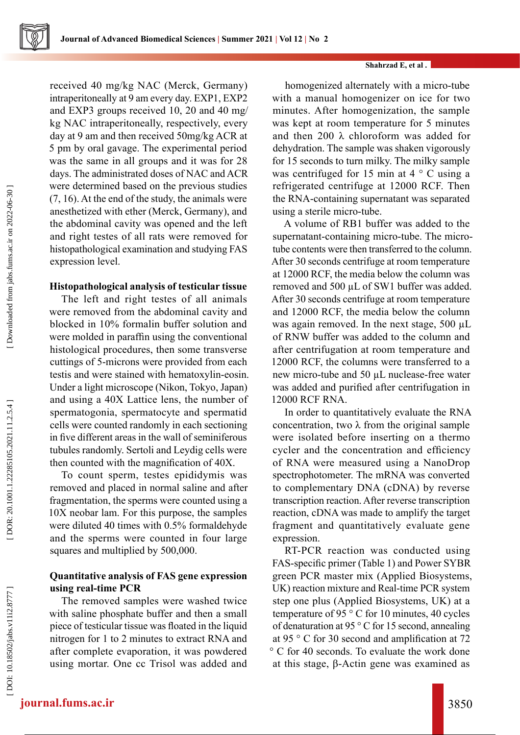#### **Shahrzad E, et al .**

received 40 mg/kg NAC (Merck, Germany) intraperitoneally at 9 am every day. EXP1, EXP2 and EXP3 groups received 10, 20 and 40 mg/ kg NAC intraperitoneally, respectively, every day at 9 am and then received 50mg/kg ACR at 5 pm by oral gavage. The experimental period was the same in all groups and it was for 28 days. The administrated doses of NAC and ACR were determined based on the previous studies (7, 16). At the end of the study, the animals were anesthetized with ether (Merck, Germany), and the abdominal cavity was opened and the left and right testes of all rats were removed for histopathological examination and studying FAS expression level.

# **Histopathological analysis of testicular tissue**

The left and right testes of all animals were removed from the abdominal cavity and blocked in 10% formalin buffer solution and were molded in paraffin using the conventional histological procedures, then some transverse cuttings of 5-microns were provided from each testis and were stained with hematoxylin-eosin. Under a light microscope (Nikon, Tokyo, Japan) and using a 40X Lattice lens, the number of spermatogonia, spermatocyte and spermatid cells were counted randomly in each sectioning in five different areas in the wall of seminiferous tubules randomly. Sertoli and Leydig cells were then counted with the magnification of 40X.

To count sperm, testes epididymis was removed and placed in normal saline and after fragmentation, the sperms were counted using a 10X neobar lam. For this purpose, the samples were diluted 40 times with 0.5% formaldehyde and the sperms were counted in four large squares and multiplied by 500,000.

# **Quantitative analysis of FAS gene expression using real-time PCR**

The removed samples were washed twice with saline phosphate buffer and then a small piece of testicular tissue was floated in the liquid nitrogen for 1 to 2 minutes to extract RNA and after complete evaporation, it was powdered using mortar. One cc Trisol was added and

homogenized alternately with a micro-tube with a manual homogenizer on ice for two minutes. After homogenization, the sample was kept at room temperature for 5 minutes and then 200 λ chloroform was added for dehydration. The sample was shaken vigorously for 15 seconds to turn milky. The milky sample was centrifuged for 15 min at 4 ° C using a refrigerated centrifuge at 12000 RCF. Then the RNA-containing supernatant was separated using a sterile micro-tube.

A volume of RB1 buffer was added to the supernatant-containing micro-tube. The microtube contents were then transferred to the column. After 30 seconds centrifuge at room temperature at 12000 RCF, the media below the column was removed and 500 µL of SW1 buffer was added. After 30 seconds centrifuge at room temperature and 12000 RCF, the media below the column was again removed. In the next stage, 500 µL of RNW buffer was added to the column and after centrifugation at room temperature and 12000 RCF, the columns were transferred to a new micro-tube and 50 µL nuclease-free water was added and purified after centrifugation in 12000 RCF RNA.

In order to quantitatively evaluate the RNA concentration, two  $\lambda$  from the original sample were isolated before inserting on a thermo cycler and the concentration and efficiency of RNA were measured using a NanoDrop spectrophotometer. The mRNA was converted to complementary DNA (cDNA) by reverse transcription reaction. After reverse transcription reaction, cDNA was made to amplify the target fragment and quantitatively evaluate gene expression.

RT-PCR reaction was conducted using FAS-specific primer (Table 1) and Power SYBR green PCR master mix (Applied Biosystems, UK) reaction mixture and Real-time PCR system step one plus (Applied Biosystems, UK) at a temperature of 95 ° C for 10 minutes, 40 cycles of denaturation at 95 ° C for 15 second, annealing at 95 ° C for 30 second and amplification at 72 ° C for 40 seconds. To evaluate the work done at this stage, β-Actin gene was examined as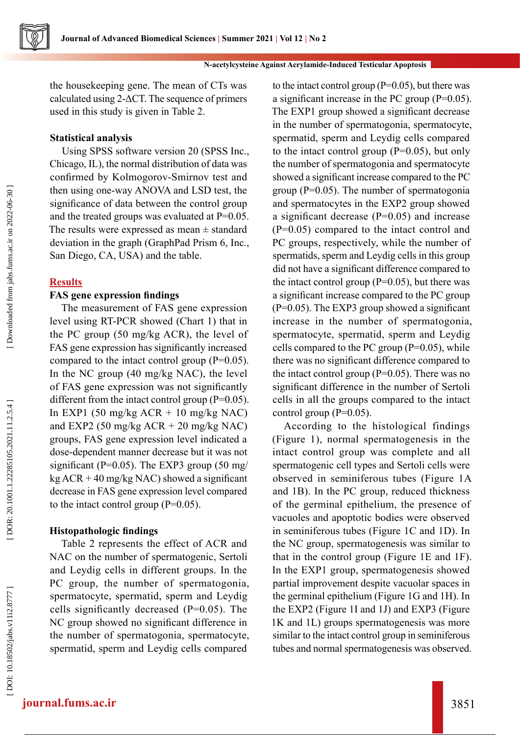

the housekeeping gene. The mean of CTs was calculated using 2-ΔCT. The sequence of primers used in this study is given in Table 2.

#### **Statistical analysis**

Using SPSS software version 20 (SPSS Inc., Chicago, IL), the normal distribution of data was confirmed by Kolmogorov-Smirnov test and then using one-way ANOVA and LSD test, the significance of data between the control group and the treated groups was evaluated at P=0.05. The results were expressed as mean  $\pm$  standard deviation in the graph (GraphPad Prism 6, Inc., San Diego, CA, USA) and the table.

# **Results**

Downloaded from jabs.fums.ac.ir on 2022-06-30

# **FAS gene expression findings**

The measurement of FAS gene expression level using RT-PCR showed (Chart 1) that in the PC group (50 mg/kg ACR), the level of FAS gene expression has significantly increased compared to the intact control group  $(P=0.05)$ . In the NC group (40 mg/kg NAC), the level of FAS gene expression was not significantly different from the intact control group (P=0.05). In EXP1 (50 mg/kg  $ACR + 10$  mg/kg NAC) and EXP2 (50 mg/kg  $ACR + 20$  mg/kg NAC) groups, FAS gene expression level indicated a dose-dependent manner decrease but it was not significant (P=0.05). The EXP3 group (50 mg/ kg  $ACR + 40$  mg/kg NAC) showed a significant decrease in FAS gene expression level compared to the intact control group  $(P=0.05)$ .

#### **Histopathologic findings**

Table 2 represents the effect of ACR and NAC on the number of spermatogenic, Sertoli and Leydig cells in different groups. In the PC group, the number of spermatogonia, spermatocyte, spermatid, sperm and Leydig cells significantly decreased (P=0.05). The NC group showed no significant difference in the number of spermatogonia, spermatocyte, spermatid, sperm and Leydig cells compared

to the intact control group  $(P=0.05)$ , but there was a significant increase in the PC group (P=0.05). The EXP1 group showed a significant decrease in the number of spermatogonia, spermatocyte, spermatid, sperm and Leydig cells compared to the intact control group (P=0.05), but only the number of spermatogonia and spermatocyte showed a significant increase compared to the PC group (P=0.05). The number of spermatogonia and spermatocytes in the EXP2 group showed a significant decrease (P=0.05) and increase (P=0.05) compared to the intact control and PC groups, respectively, while the number of spermatids, sperm and Leydig cells in this group did not have a significant difference compared to the intact control group  $(P=0.05)$ , but there was a significant increase compared to the PC group (P=0.05). The EXP3 group showed a significant increase in the number of spermatogonia, spermatocyte, spermatid, sperm and Leydig cells compared to the PC group  $(P=0.05)$ , while there was no significant difference compared to the intact control group  $(P=0.05)$ . There was no significant difference in the number of Sertoli cells in all the groups compared to the intact control group  $(P=0.05)$ .

According to the histological findings (Figure 1), normal spermatogenesis in the intact control group was complete and all spermatogenic cell types and Sertoli cells were observed in seminiferous tubes (Figure 1A and 1B). In the PC group, reduced thickness of the germinal epithelium, the presence of vacuoles and apoptotic bodies were observed in seminiferous tubes (Figure 1C and 1D). In the NC group, spermatogenesis was similar to that in the control group (Figure 1E and 1F). In the EXP1 group, spermatogenesis showed partial improvement despite vacuolar spaces in the germinal epithelium (Figure 1G and 1H). In the EXP2 (Figure 1I and 1J) and EXP3 (Figure 1K and 1L) groups spermatogenesis was more similar to the intact control group in seminiferous tubes and normal spermatogenesis was observed.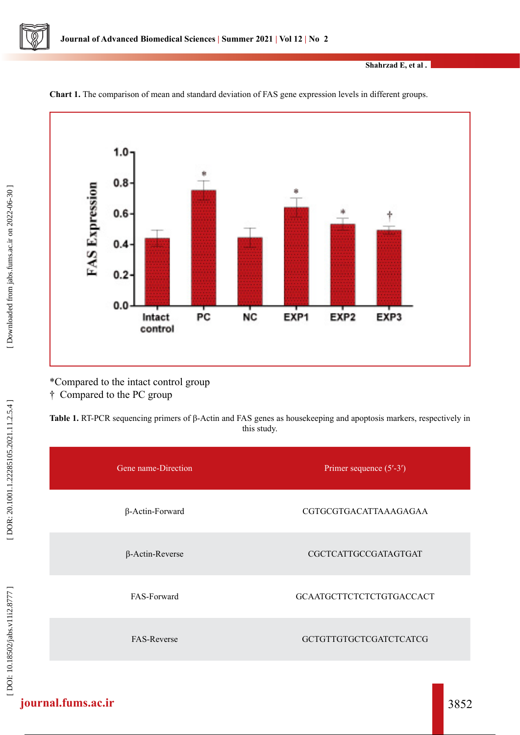

**Shahrzad E, et al .**



**Chart 1.** The comparison of mean and standard deviation of FAS gene expression levels in different groups.

\*Compared to the intact control group † Compared to the PC group

**Table 1.** RT-PCR sequencing primers of β-Actin and FAS genes as housekeeping and apoptosis markers, respectively in this study.

| Gene name-Direction    | Primer sequence $(5'$ -3')    |  |  |
|------------------------|-------------------------------|--|--|
| $\beta$ -Actin-Forward | CGTGCGTGACATTAAAGAGAA         |  |  |
| $\beta$ -Actin-Reverse | CGCTCATTGCCGATAGTGAT          |  |  |
| FAS-Forward            | GCAATGCTTCTCTCTGTGACCACT      |  |  |
| <b>FAS-Reverse</b>     | <b>GCTGTTGTGCTCGATCTCATCG</b> |  |  |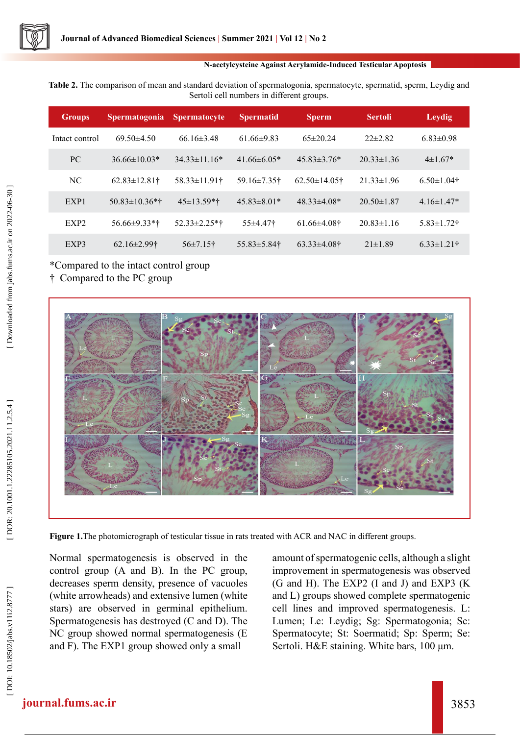#### **N-acetylcysteine Against Acrylamide-Induced Testicular Apoptosis**

**Table 2.** The comparison of mean and standard deviation of spermatogonia, spermatocyte, spermatid, sperm, Leydig and Sertoli cell numbers in different groups.

| <b>Groups</b>    | <b>Spermatogonia</b>          | <b>Spermatocyte</b>      | <b>Spermatid</b>   | <b>Sperm</b>                   | <b>Sertoli</b>   | Leydig            |
|------------------|-------------------------------|--------------------------|--------------------|--------------------------------|------------------|-------------------|
| Intact control   | $69.50 \pm 4.50$              | $66.16\pm3.48$           | $61.66\pm9.83$     | $65\pm20.24$                   | $22\pm 2.82$     | $6.83 \pm 0.98$   |
| PC               | $36.66\pm10.03*$              | $34.33\pm11.16*$         | $41.66\pm 6.05*$   | $45.83\pm3.76*$                | $20.33 \pm 1.36$ | $4\pm1.67*$       |
| NC.              | $62.83 \pm 12.81$ †           | 58.33±11.91†             | 59.16±7.35†        | $62.50 \pm 14.05$ <sup>†</sup> | $21.33 \pm 1.96$ | $6.50 \pm 1.04$ † |
| EXP1             | $50.83 \pm 10.36$ *†          | $45 \pm 13.59**$         | $45.83 \pm 8.01*$  | $48.33\pm4.08*$                | $20.50 \pm 1.87$ | $4.16\pm1.47*$    |
| EXP <sub>2</sub> | $56.66\pm9.33*$               | $52.33 \pm 2.25$ *†      | $55\pm4.47$        | $61.66\pm4.08$ †               | $20.83 \pm 1.16$ | $5.83 \pm 1.72$ † |
| EXP3             | $62.16 \pm 2.99$ <sup>†</sup> | $56\pm7.15$ <sup>†</sup> | $55.83 \pm 5.84$ † | $63.33 \pm 4.08$ †             | $21 \pm 1.89$    | $6.33 \pm 1.21$ † |

# \*Compared to the intact control group

† Compared to the PC group



**Figure 1.**The photomicrograph of testicular tissue in rats treated with ACR and NAC in different groups.

Normal spermatogenesis is observed in the control group (A and B). In the PC group, decreases sperm density, presence of vacuoles (white arrowheads) and extensive lumen (white stars) are observed in germinal epithelium. Spermatogenesis has destroyed (C and D). The NC group showed normal spermatogenesis (E and F). The EXP1 group showed only a small

amount of spermatogenic cells, although a slight improvement in spermatogenesis was observed (G and H). The EXP2 (I and J) and EXP3 (K and L) groups showed complete spermatogenic cell lines and improved spermatogenesis. L: Lumen; Le: Leydig; Sg: Spermatogonia; Sc: Spermatocyte; St: Soermatid; Sp: Sperm; Se: Sertoli. H&E staining. White bars, 100 μm.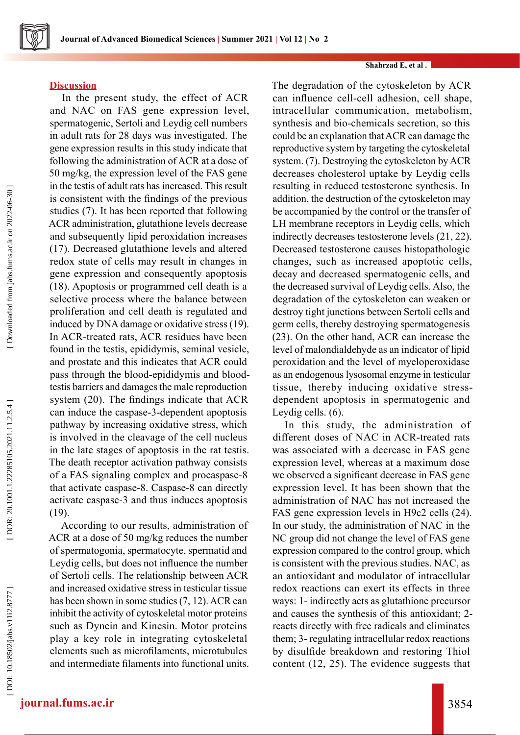#### **Shahrzad E, et al .**

#### **Discussion**

In the present study, the effect of ACR and NAC on FAS gene expression level, spermatogenic, Sertoli and Leydig cell numbers in adult rats for 28 days was investigated. The gene expression results in this study indicate that following the administration of ACR at a dose of 50 mg/kg, the expression level of the FAS gene in the testis of adult rats has increased. This result is consistent with the findings of the previous studies (7). It has been reported that following ACR administration, glutathione levels decrease and subsequently lipid peroxidation increases (17). Decreased glutathione levels and altered redox state of cells may result in changes in gene expression and consequently apoptosis (18). Apoptosis or programmed cell death is a selective process where the balance between proliferation and cell death is regulated and induced by DNA damage or oxidative stress (19). In ACR-treated rats, ACR residues have been found in the testis, epididymis, seminal vesicle, and prostate and this indicates that ACR could pass through the blood-epididymis and bloodtestis barriers and damages the male reproduction system (20). The findings indicate that ACR can induce the caspase-3-dependent apoptosis pathway by increasing oxidative stress, which is involved in the cleavage of the cell nucleus in the late stages of apoptosis in the rat testis. The death receptor activation pathway consists of a FAS signaling complex and procaspase-8 that activate caspase-8. Caspase-8 can directly activate caspase-3 and thus induces apoptosis (19).

According to our results, administration of ACR at a dose of 50 mg/kg reduces the number of spermatogonia, spermatocyte, spermatid and Leydig cells, but does not influence the number of Sertoli cells. The relationship between ACR and increased oxidative stress in testicular tissue has been shown in some studies (7, 12). ACR can inhibit the activity of cytoskeletal motor proteins such as Dynein and Kinesin. Motor proteins play a key role in integrating cytoskeletal elements such as microfilaments, microtubules and intermediate filaments into functional units. The degradation of the cytoskeleton by ACR can influence cell-cell adhesion, cell shape, intracellular communication, metabolism, synthesis and bio-chemicals secretion, so this could be an explanation that ACR can damage the reproductive system by targeting the cytoskeletal system. (7). Destroying the cytoskeleton by ACR decreases cholesterol uptake by Leydig cells resulting in reduced testosterone synthesis. In addition, the destruction of the cytoskeleton may be accompanied by the control or the transfer of LH membrane receptors in Leydig cells, which indirectly decreases testosterone levels (21, 22). Decreased testosterone causes histopathologic changes, such as increased apoptotic cells, decay and decreased spermatogenic cells, and the decreased survival of Leydig cells. Also, the degradation of the cytoskeleton can weaken or destroy tight junctions between Sertoli cells and germ cells, thereby destroying spermatogenesis (23). On the other hand, ACR can increase the level of malondialdehyde as an indicator of lipid peroxidation and the level of myeloperoxidase as an endogenous lysosomal enzyme in testicular tissue, thereby inducing oxidative stressdependent apoptosis in spermatogenic and Leydig cells. (6).

In this study, the administration of different doses of NAC in ACR-treated rats was associated with a decrease in FAS gene expression level, whereas at a maximum dose we observed a significant decrease in FAS gene expression level. It has been shown that the administration of NAC has not increased the FAS gene expression levels in H9c2 cells (24). In our study, the administration of NAC in the NC group did not change the level of FAS gene expression compared to the control group, which is consistent with the previous studies. NAC, as an antioxidant and modulator of intracellular redox reactions can exert its effects in three ways: 1- indirectly acts as glutathione precursor and causes the synthesis of this antioxidant; 2 reacts directly with free radicals and eliminates them; 3- regulating intracellular redox reactions by disulfide breakdown and restoring Thiol content (12, 25). The evidence suggests that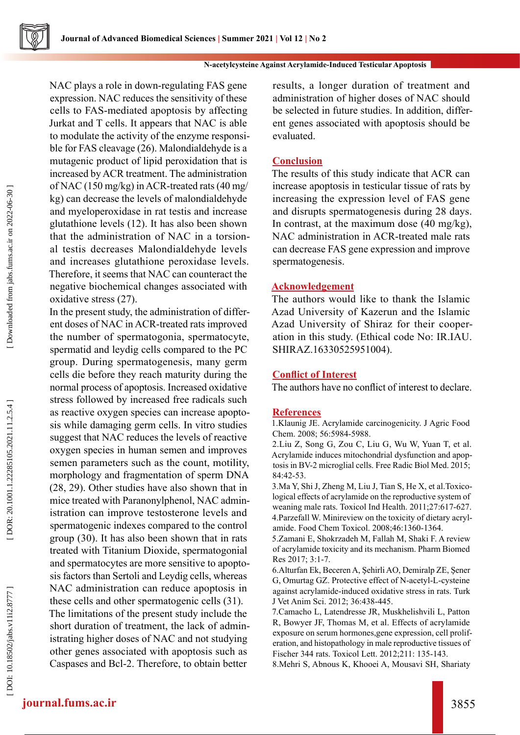

#### **N-acetylcysteine Against Acrylamide-Induced Testicular Apoptosis**

NAC plays a role in down-regulating FAS gene expression. NAC reduces the sensitivity of these cells to FAS-mediated apoptosis by affecting Jurkat and T cells. It appears that NAC is able to modulate the activity of the enzyme responsi ble for FAS cleavage (26). Malondialdehyde is a mutagenic product of lipid peroxidation that is increased by ACR treatment. The administration of NAC (150 mg/kg) in ACR-treated rats (40 mg/ kg) can decrease the levels of malondialdehyde and myeloperoxidase in rat testis and increase glutathione levels (12). It has also been shown that the administration of NAC in a torsion al testis decreases Malondialdehyde levels and increases glutathione peroxidase levels. Therefore, it seems that NAC can counteract the negative biochemical changes associated with oxidative stress (27).

In the present study, the administration of differ ent doses of NAC in ACR-treated rats improved the number of spermatogonia, spermatocyte, spermatid and leydig cells compared to the PC group. During spermatogenesis, many germ cells die before they reach maturity during the normal process of apoptosis. Increased oxidative stress followed by increased free radicals such as reactive oxygen species can increase apopto sis while damaging germ cells. In vitro studies suggest that NAC reduces the levels of reactive oxygen species in human semen and improves semen parameters such as the count, motility, morphology and fragmentation of sperm DNA (28, 29). Other studies have also shown that in mice treated with Paranonylphenol, NAC admin istration can improve testosterone levels and spermatogenic indexes compared to the control group (30). It has also been shown that in rats treated with Titanium Dioxide, spermatogonial and spermatocytes are more sensitive to apopto sis factors than Sertoli and Leydig cells, whereas NAC administration can reduce apoptosis in these cells and other spermatogenic cells (31). The limitations of the present study include the short duration of treatment, the lack of admin istrating higher doses of NAC and not studying other genes associated with apoptosis such as Caspases and Bcl-2. Therefore, to obtain better

results, a longer duration of treatment and administration of higher doses of NAC should be selected in future studies. In addition, differ ent genes associated with apoptosis should be evaluated.

# **Conclusion**

The results of this study indicate that ACR can increase apoptosis in testicular tissue of rats by increasing the expression level of FAS gene and disrupts spermatogenesis during 28 days. In contrast, at the maximum dose (40 mg/kg), NAC administration in ACR-treated male rats can decrease FAS gene expression and improve spermatogenesis.

# **Acknowledgement**

The authors would like to thank the Islamic Azad University of Kazerun and the Islamic Azad University of Shiraz for their cooper ation in this study. (Ethical code No: IR.IAU. SHIRAZ.16330525951004).

#### **Conflict of Interest**

The authors have no conflict of interest to declare.

#### **References**

1.Klaunig JE. Acrylamide carcinogenicity. J Agric Food Chem. 2008; 56:5984-5988.

2.Liu Z, Song G, Zou C, Liu G, Wu W, Yuan T, et al. Acrylamide induces mitochondrial dysfunction and apop tosis in BV-2 microglial cells. Free Radic Biol Med. 2015; 84:42-53.

3.Ma Y, Shi J, Zheng M, Liu J, Tian S, He X, et al.Toxico logical effects of acrylamide on the reproductive system of weaning male rats. Toxicol Ind Health. 2011;27:617-627. 4.Parzefall W. Minireview on the toxicity of dietary acryl amide. Food Chem Toxicol. 2008;46:1360-1364.

5.Zamani E, Shokrzadeh M, Fallah M, Shaki F. A review of acrylamide toxicity and its mechanism. Pharm Biomed Res 2017; 3:1-7.

6.Alturfan Ek, Beceren A, Şehirli AO, Demiralp ZE, Şener G, Omurtag GZ. Protective effect of N-acetyl-L-cysteine against acrylamide-induced oxidative stress in rats. Turk J Vet Anim Sci. 2012; 36:438-445.

7.Camacho L, Latendresse JR, Muskhelishvili L, Patton R, Bowyer JF, Thomas M, et al. Effects of acrylamide exposure on serum hormones,gene expression, cell proliferation, and histopathology in male reproductive tissues of Fischer 344 rats. Toxicol Lett. 2012;211: 135-143.

8.Mehri S, Abnous K, Khooei A, Mousavi SH, Shariaty